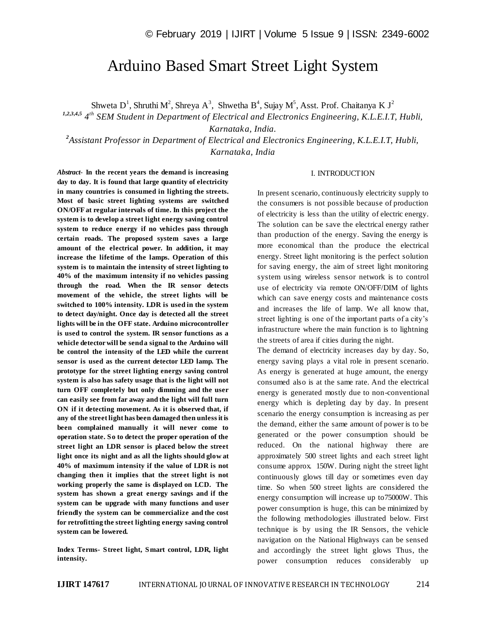# Arduino Based Smart Street Light System

Shweta D<sup>1</sup>, Shruthi M<sup>2</sup>, Shreya A<sup>3</sup>, Shwetha B<sup>4</sup>, Sujay M<sup>5</sup>, Asst. Prof. Chaitanya K J<sup>2</sup>

*1,2,3,4,5 4 th SEM Student in Department of Electrical and Electronics Engineering, K.L.E.I.T, Hubli,* 

*Karnataka, India.*

*2 Assistant Professor in Department of Electrical and Electronics Engineering, K.L.E.I.T, Hubli, Karnataka, India*

#### I. INTRODUCTION

*Abstract*- **In the recent years the demand is increasing day to day. It is found that large quantity of electricity in many countries is consumed in lighting the streets. Most of basic street lighting systems are switched ON/OFF at regular intervals of time. In this project the system is to develop a street light energy saving control system to reduce energy if no vehicles pass through certain roads. The proposed system saves a large amount of the electrical power. In addition, it may increase the lifetime of the lamps. Operation of this system is to maintain the intensity of street lighting to 40% of the maximum intensity if no vehicles passing through the road. When the IR sensor detects movement of the vehicle, the street lights will be switched to 100% intensity. LDR is used in the system to detect day/night. Once day is detected all the street lights will be in the OFF state. Arduino microcontroller is used to control the system. IR sensor functions as a vehicle detector will be send a signal to the Arduino will be control the intensity of the LED while the current sensor is used as the current detector LED lamp. The prototype for the street lighting energy saving control system is also has safety usage that is the light will not turn OFF completely but only dimming and the user can easily see from far away and the light will full turn ON if it detecting movement. As it is observed that, if any of the street light has been damaged then unless it is been complained manually it will never come to operation state. So to detect the proper operation of the street light an LDR sensor is placed below the street light once its night and as all the lights should glow at 40% of maximum intensity if the value of LDR is not changing then it implies that the street light is not working properly the same is displayed on LCD. The system has shown a great energy savings and if the system can be upgrade with many functions and user friendly the system can be commercialize and the cost for retrofitting the street lighting energy saving control system can be lowered.**

**Index Terms- Street light, Smart control, LDR, light intensity.**

In present scenario, continuously electricity supply to the consumers is not possible because of production of electricity is less than the utility of electric energy. The solution can be save the electrical energy rather than production of the energy. Saving the energy is more economical than the produce the electrical energy. Street light monitoring is the perfect solution for saving energy, the aim of street light monitoring system using wireless sensor network is to control use of electricity via remote ON/OFF/DIM of lights which can save energy costs and maintenance costs and increases the life of lamp. We all know that, street lighting is one of the important parts of a city's infrastructure where the main function is to lightning the streets of area if cities during the night.

The demand of electricity increases day by day. So, energy saving plays a vital role in present scenario. As energy is generated at huge amount, the energy consumed also is at the same rate. And the electrical energy is generated mostly due to non-conventional energy which is depleting day by day. In present scenario the energy consumption is increasing as per the demand, either the same amount of power is to be generated or the power consumption should be reduced. On the national highway there are approximately 500 street lights and each street light consume approx. 150W. During night the street light continuously glows till day or sometimes even day time. So when 500 street lights are considered the energy consumption will increase up to75000W. This power consumption is huge, this can be minimized by the following methodologies illustrated below. First technique is by using the IR Sensors, the vehicle navigation on the National Highways can be sensed and accordingly the street light glows Thus, the power consumption reduces considerably up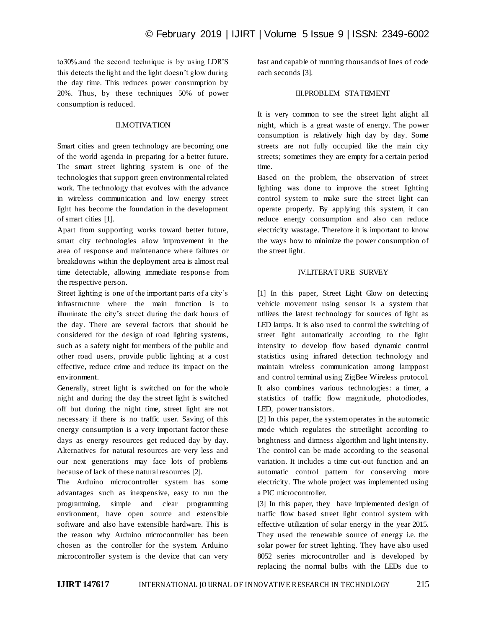to30%.and the second technique is by using LDR'S this detects the light and the light doesn't glow during the day time. This reduces power consumption by 20%. Thus, by these techniques 50% of power consumption is reduced.

## II.MOTIVATION

Smart cities and green technology are becoming one of the world agenda in preparing for a better future. The smart street lighting system is one of the technologies that support green environmental related work. The technology that evolves with the advance in wireless communication and low energy street light has become the foundation in the development of smart cities [1].

Apart from supporting works toward better future, smart city technologies allow improvement in the area of response and maintenance where failures or breakdowns within the deployment area is almost real time detectable, allowing immediate response from the respective person.

Street lighting is one of the important parts of a city's infrastructure where the main function is to illuminate the city's street during the dark hours of the day. There are several factors that should be considered for the design of road lighting systems, such as a safety night for members of the public and other road users, provide public lighting at a cost effective, reduce crime and reduce its impact on the environment.

Generally, street light is switched on for the whole night and during the day the street light is switched off but during the night time, street light are not necessary if there is no traffic user. Saving of this energy consumption is a very important factor these days as energy resources get reduced day by day. Alternatives for natural resources are very less and our next generations may face lots of problems because of lack of these natural resources [2].

The Arduino microcontroller system has some advantages such as inexpensive, easy to run the programming, simple and clear programming environment, have open source and extensible software and also have extensible hardware. This is the reason why Arduino microcontroller has been chosen as the controller for the system. Arduino microcontroller system is the device that can very

fast and capable of running thousands of lines of code each seconds [3].

# III.PROBLEM STATEMENT

It is very common to see the street light alight all night, which is a great waste of energy. The power consumption is relatively high day by day. Some streets are not fully occupied like the main city streets; sometimes they are empty for a certain period time.

Based on the problem, the observation of street lighting was done to improve the street lighting control system to make sure the street light can operate properly. By applying this system, it can reduce energy consumption and also can reduce electricity wastage. Therefore it is important to know the ways how to minimize the power consumption of the street light.

### IV.LITERATURE SURVEY

[1] In this paper, Street Light Glow on detecting vehicle movement using sensor is a system that utilizes the latest technology for sources of light as LED lamps. It is also used to control the switching of street light automatically according to the light intensity to develop flow based dynamic control statistics using infrared detection technology and maintain wireless communication among lamppost and control terminal using ZigBee Wireless protocol. It also combines various technologies: a timer, a statistics of traffic flow magnitude, photodiodes, LED, power transistors.

[2] In this paper, the system operates in the automatic mode which regulates the streetlight according to brightness and dimness algorithm and light intensity. The control can be made according to the seasonal variation. It includes a time cut-out function and an automatic control pattern for conserving more electricity. The whole project was implemented using a PIC microcontroller.

[3] In this paper, they have implemented design of traffic flow based street light control system with effective utilization of solar energy in the year 2015. They used the renewable source of energy i.e. the solar power for street lighting. They have also used 8052 series microcontroller and is developed by replacing the normal bulbs with the LEDs due to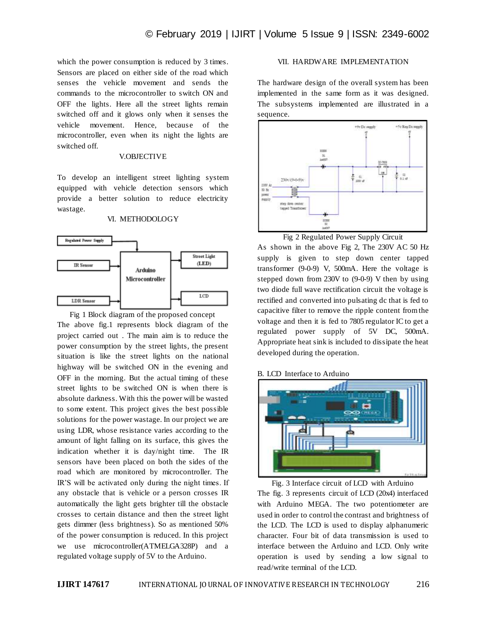which the power consumption is reduced by 3 times. Sensors are placed on either side of the road which senses the vehicle movement and sends the commands to the microcontroller to switch ON and OFF the lights. Here all the street lights remain switched off and it glows only when it senses the vehicle movement. Hence, because of the microcontroller, even when its night the lights are switched off.

#### V.OBJECTIVE

To develop an intelligent street lighting system equipped with vehicle detection sensors which provide a better solution to reduce electricity wastage.

## VI. METHODOLOGY



Fig 1 Block diagram of the proposed concept The above fig.1 represents block diagram of the project carried out . The main aim is to reduce the power consumption by the street lights, the present situation is like the street lights on the national highway will be switched ON in the evening and OFF in the morning. But the actual timing of these street lights to be switched ON is when there is absolute darkness. With this the power will be wasted to some extent. This project gives the best possible solutions for the power wastage. In our project we are using LDR, whose resistance varies according to the amount of light falling on its surface, this gives the indication whether it is day/night time. The IR sensors have been placed on both the sides of the road which are monitored by microcontroller. The IR'S will be activated only during the night times. If any obstacle that is vehicle or a person crosses IR automatically the light gets brighter till the obstacle crosses to certain distance and then the street light gets dimmer (less brightness). So as mentioned 50% of the power consumption is reduced. In this project we use microcontroller(ATMELGA328P) and a regulated voltage supply of 5V to the Arduino.

# VII. HARDWARE IMPLEMENTATION

The hardware design of the overall system has been implemented in the same form as it was designed. The subsystems implemented are illustrated in a sequence.



Fig 2 Regulated Power Supply Circuit

As shown in the above Fig 2, The 230V AC 50 Hz supply is given to step down center tapped transformer (9-0-9) V, 500mA. Here the voltage is stepped down from 230V to (9-0-9) V then by using two diode full wave rectification circuit the voltage is rectified and converted into pulsating dc that is fed to capacitive filter to remove the ripple content from the voltage and then it is fed to 7805 regulator IC to get a regulated power supply of 5V DC, 500mA. Appropriate heat sink is included to dissipate the heat developed during the operation.

#### B. LCD Interface to Arduino



Fig. 3 Interface circuit of LCD with Arduino The fig. 3 represents circuit of LCD (20x4) interfaced with Arduino MEGA. The two potentiometer are used in order to control the contrast and brightness of the LCD. The LCD is used to display alphanumeric character. Four bit of data transmission is used to interface between the Arduino and LCD. Only write operation is used by sending a low signal to read/write terminal of the LCD.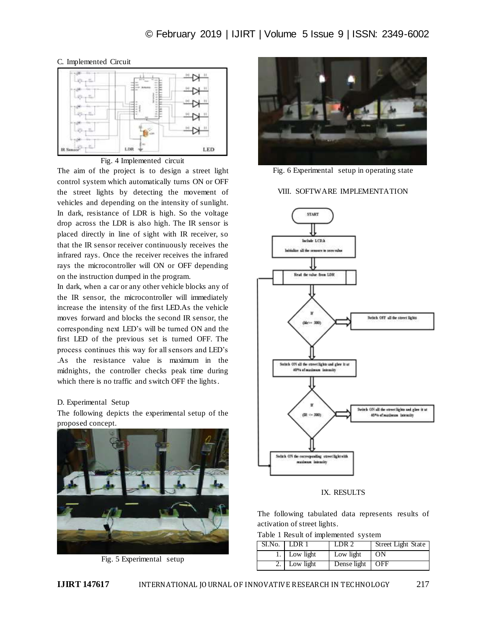## C. Implemented Circuit



#### Fig. 4 Implemented circuit

The aim of the project is to design a street light control system which automatically turns ON or OFF the street lights by detecting the movement of vehicles and depending on the intensity of sunlight. In dark, resistance of LDR is high. So the voltage drop across the LDR is also high. The IR sensor is placed directly in line of sight with IR receiver, so that the IR sensor receiver continuously receives the infrared rays. Once the receiver receives the infrared rays the microcontroller will ON or OFF depending on the instruction dumped in the program.

In dark, when a car or any other vehicle blocks any of the IR sensor, the microcontroller will immediately increase the intensity of the first LED.As the vehicle moves forward and blocks the second IR sensor, the corresponding next LED's will be turned ON and the first LED of the previous set is turned OFF. The process continues this way for all sensors and LED's .As the resistance value is maximum in the midnights, the controller checks peak time during which there is no traffic and switch OFF the lights.

#### D. Experimental Setup

The following depicts the experimental setup of the proposed concept.



Fig. 5 Experimental setup



Fig. 6 Experimental setup in operating state

VIII. SOFTWARE IMPLEMENTATION



IX. RESULTS

The following tabulated data represents results of activation of street lights.

|  |  |  |  | Table 1 Result of implemented system |  |  |
|--|--|--|--|--------------------------------------|--|--|
|--|--|--|--|--------------------------------------|--|--|

| $SI.No.$   LDR 1 | LDR <sub>2</sub>  | Street Light State |
|------------------|-------------------|--------------------|
| 1. Low light     | Low light         | ON                 |
| Low light        | Dense light   OFF |                    |